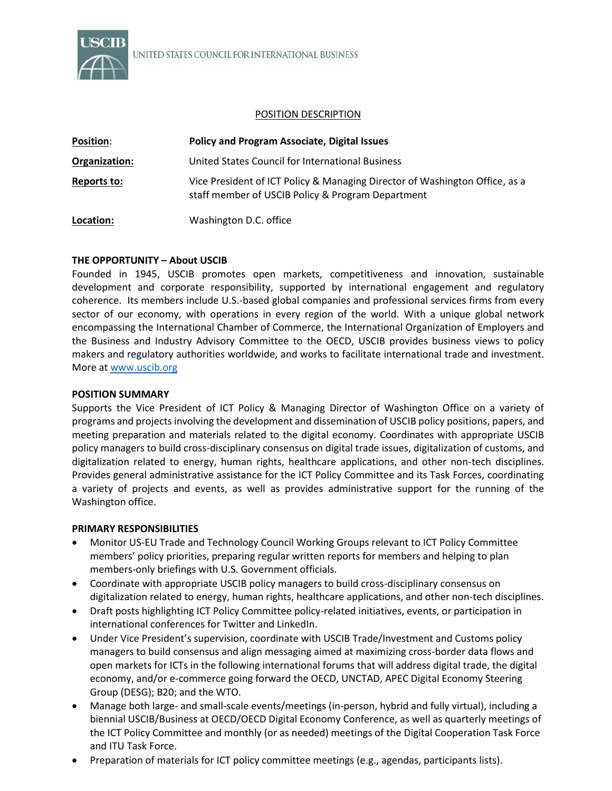

#### POSITION DESCRIPTION

| <b>Position:</b> | <b>Policy and Program Associate, Digital Issues</b>                                                                              |
|------------------|----------------------------------------------------------------------------------------------------------------------------------|
| Organization:    | United States Council for International Business                                                                                 |
| Reports to:      | Vice President of ICT Policy & Managing Director of Washington Office, as a<br>staff member of USCIB Policy & Program Department |
| Location:        | Washington D.C. office                                                                                                           |

## **THE OPPORTUNITY – About USCIB**

Founded in 1945, USCIB promotes open markets, competitiveness and innovation, sustainable development and corporate responsibility, supported by international engagement and regulatory coherence. Its members include U.S.-based global companies and professional services firms from every sector of our economy, with operations in every region of the world. With a unique global network encompassing the International Chamber of Commerce, the International Organization of Employers and the Business and Industry Advisory Committee to the OECD, USCIB provides business views to policy makers and regulatory authorities worldwide, and works to facilitate international trade and investment. More a[t www.uscib.org](http://www.uscib.org/)

#### **POSITION SUMMARY**

Supports the Vice President of ICT Policy & Managing Director of Washington Office on a variety of programs and projects involving the development and dissemination of USCIB policy positions, papers, and meeting preparation and materials related to the digital economy. Coordinates with appropriate USCIB policy managers to build cross-disciplinary consensus on digital trade issues, digitalization of customs, and digitalization related to energy, human rights, healthcare applications, and other non-tech disciplines. Provides general administrative assistance for the ICT Policy Committee and its Task Forces, coordinating a variety of projects and events, as well as provides administrative support for the running of the Washington office.

## **PRIMARY RESPONSIBILITIES**

- Monitor US-EU Trade and Technology Council Working Groups relevant to ICT Policy Committee members' policy priorities, preparing regular written reports for members and helping to plan members-only briefings with U.S. Government officials.
- Coordinate with appropriate USCIB policy managers to build cross-disciplinary consensus on digitalization related to energy, human rights, healthcare applications, and other non-tech disciplines.
- Draft posts highlighting ICT Policy Committee policy-related initiatives, events, or participation in international conferences for Twitter and LinkedIn.
- Under Vice President's supervision, coordinate with USCIB Trade/Investment and Customs policy managers to build consensus and align messaging aimed at maximizing cross-border data flows and open markets for ICTs in the following international forums that will address digital trade, the digital economy, and/or e-commerce going forward the OECD, UNCTAD, APEC Digital Economy Steering Group (DESG); B20; and the WTO.
- Manage both large- and small-scale events/meetings (in-person, hybrid and fully virtual), including a biennial USCIB/Business at OECD/OECD Digital Economy Conference, as well as quarterly meetings of the ICT Policy Committee and monthly (or as needed) meetings of the Digital Cooperation Task Force and ITU Task Force.
- Preparation of materials for ICT policy committee meetings (e.g., agendas, participants lists).